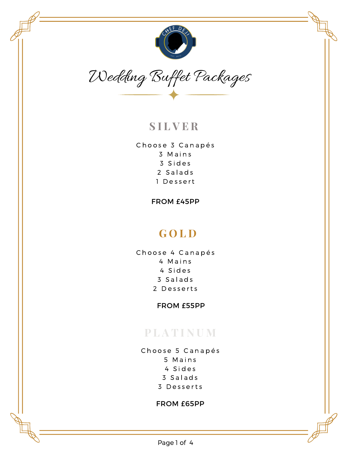



# **S I L V E R**

Choose 3 Canapés 3 M a i n s 3 S i d e s 2 Salads 1 Dessert

FROM £45PP

# **G O L D**

Choose 4 Canapés 4 M a i n s 4 S i d e s 3 S a l a d s 2 Desserts

FROM £55PP

# **P L A T I N U M**

Choose 5 Canapés M a i n s S i d e s S a l a d s D e s s e r t s

#### FROM £65PP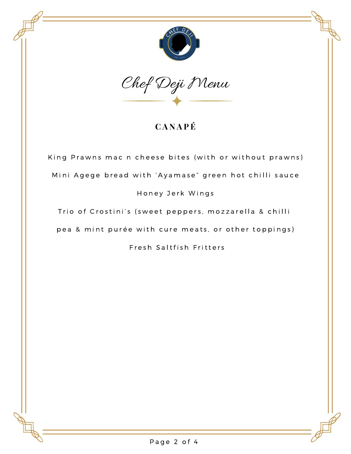



## **C A N A P É**

King Prawns mac n cheese bites (with or without prawns) Mini Agege bread with 'Ayamase" green hot chilli sauce Honey Jerk Wings

Trio of Crostini's (sweet peppers, mozzarella & chilli

pea & mint purée with cure meats, or other toppings)

Fresh Saltfish Fritters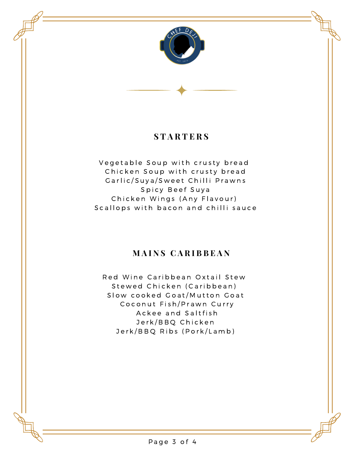

## **S T A R T E R S**

Vegetable Soup with crusty bread Chicken Soup with crusty bread Garlic/Suya/Sweet Chilli Prawns Spicy Beef Suya Chicken Wings (Any Flavour) Scallops with bacon and chilli sauce

### **M A I N S C A R I B B E A N**

Red Wine Caribbean Oxtail Stew Stewed Chicken (Caribbean) Slow cooked Goat/Mutton Goat Coconut Fish/Prawn Curry A c k e e and Saltfish Jerk/BBQ Chicken Jerk/BBQ Ribs (Pork/Lamb)